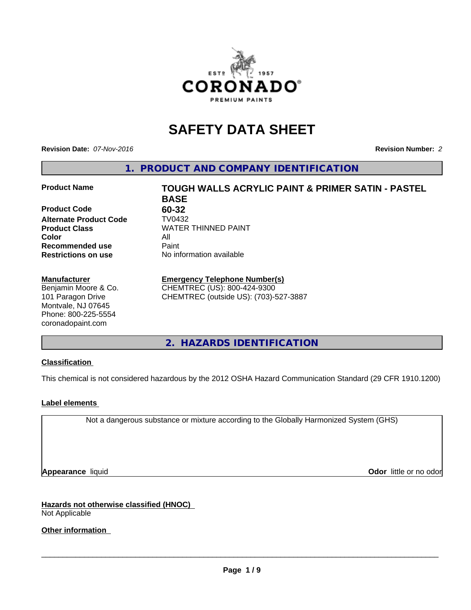

# **SAFETY DATA SHEET**

**Revision Date:** *07-Nov-2016* **Revision Number:** *2*

**1. PRODUCT AND COMPANY IDENTIFICATION**

## **Product Name TOUGH WALLS ACRYLIC PAINT & PRIMER SATIN - PASTEL**

**Product Code 60-32 Alternate Product Code TV0432<br>Product Class COV MATER Color** All **Recommended use** Paint<br> **Restrictions on use** No inf

#### **Manufacturer**

Benjamin Moore & Co. 101 Paragon Drive Montvale, NJ 07645 Phone: 800-225-5554 coronadopaint.com

**BASE Product Class** WATER THINNED PAINT<br>
Color **No information available** 

## **Emergency Telephone Number(s)**

CHEMTREC (US): 800-424-9300 CHEMTREC (outside US): (703)-527-3887

**2. HAZARDS IDENTIFICATION**

## **Classification**

This chemical is not considered hazardous by the 2012 OSHA Hazard Communication Standard (29 CFR 1910.1200)

## **Label elements**

Not a dangerous substance or mixture according to the Globally Harmonized System (GHS)

**Appearance** liquid **Odor in the original of the original of the original of the original of the original of the original of the original of the original of the original of the original of the original of the original of t** 

**Hazards not otherwise classified (HNOC)** Not Applicable

**Other information**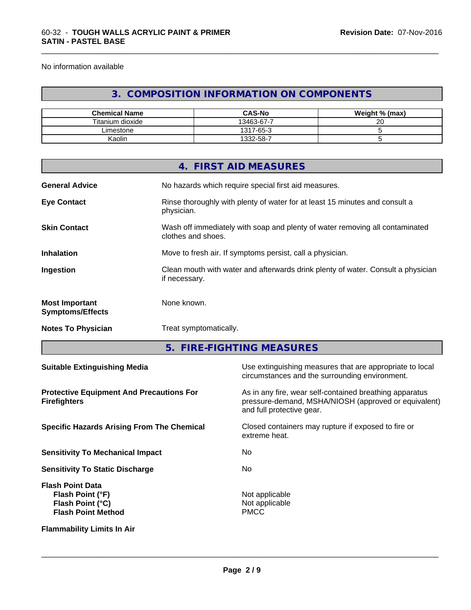No information available

**SATIN - PASTEL BASE**

## **3. COMPOSITION INFORMATION ON COMPONENTS**

| <b>Chemical Name</b> | <b>CAS-No</b> | Weight % (max) |
|----------------------|---------------|----------------|
| Titanium dioxide     | 13463-67-7    | ററ<br>∠        |
| ∟imestone_           | 1317-65-3     |                |
| Kaolin               | 1332-58-7     |                |

|                                                  | 4. FIRST AID MEASURES                                                                              |
|--------------------------------------------------|----------------------------------------------------------------------------------------------------|
| <b>General Advice</b>                            | No hazards which require special first aid measures.                                               |
| <b>Eye Contact</b>                               | Rinse thoroughly with plenty of water for at least 15 minutes and consult a<br>physician.          |
| <b>Skin Contact</b>                              | Wash off immediately with soap and plenty of water removing all contaminated<br>clothes and shoes. |
| <b>Inhalation</b>                                | Move to fresh air. If symptoms persist, call a physician.                                          |
| Ingestion                                        | Clean mouth with water and afterwards drink plenty of water. Consult a physician<br>if necessary.  |
| <b>Most Important</b><br><b>Symptoms/Effects</b> | None known.                                                                                        |
| <b>Notes To Physician</b>                        | Treat symptomatically.                                                                             |

**5. FIRE-FIGHTING MEASURES**

| <b>Suitable Extinguishing Media</b>                                                          | Use extinguishing measures that are appropriate to local<br>circumstances and the surrounding environment.                                   |
|----------------------------------------------------------------------------------------------|----------------------------------------------------------------------------------------------------------------------------------------------|
| <b>Protective Equipment And Precautions For</b><br><b>Firefighters</b>                       | As in any fire, wear self-contained breathing apparatus<br>pressure-demand, MSHA/NIOSH (approved or equivalent)<br>and full protective gear. |
| <b>Specific Hazards Arising From The Chemical</b>                                            | Closed containers may rupture if exposed to fire or<br>extreme heat.                                                                         |
| <b>Sensitivity To Mechanical Impact</b>                                                      | No.                                                                                                                                          |
| <b>Sensitivity To Static Discharge</b>                                                       | No.                                                                                                                                          |
| <b>Flash Point Data</b><br>Flash Point (°F)<br>Flash Point (°C)<br><b>Flash Point Method</b> | Not applicable<br>Not applicable<br><b>PMCC</b>                                                                                              |
| <b>Flammability Limits In Air</b>                                                            |                                                                                                                                              |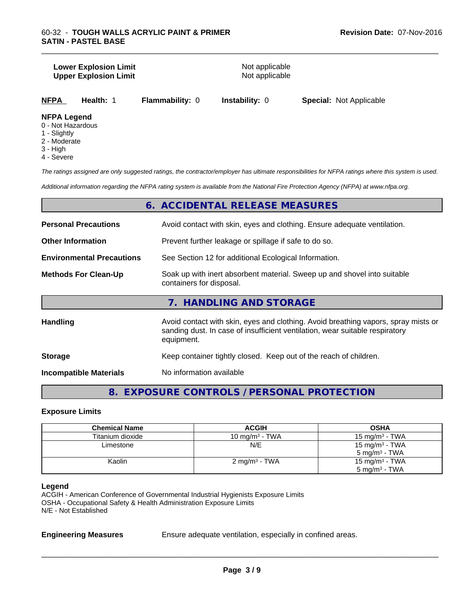#### **Lower Explosion Limit**<br> **Upper Explosion Limit**<br> **Upper Explosion Limit Upper Explosion Limit**

\_\_\_\_\_\_\_\_\_\_\_\_\_\_\_\_\_\_\_\_\_\_\_\_\_\_\_\_\_\_\_\_\_\_\_\_\_\_\_\_\_\_\_\_\_\_\_\_\_\_\_\_\_\_\_\_\_\_\_\_\_\_\_\_\_\_\_\_\_\_\_\_\_\_\_\_\_\_\_\_\_\_\_\_\_\_\_\_\_\_\_\_\_

**NFPA Health:** 1 **Flammability:** 0 **Instability:** 0 **Special:** Not Applicable

#### **NFPA Legend**

- 0 Not Hazardous
- 1 Slightly
- 2 Moderate
- 3 High
- 4 Severe

*The ratings assigned are only suggested ratings, the contractor/employer has ultimate responsibilities for NFPA ratings where this system is used.*

*Additional information regarding the NFPA rating system is available from the National Fire Protection Agency (NFPA) at www.nfpa.org.*

## **6. ACCIDENTAL RELEASE MEASURES**

| <b>Personal Precautions</b>                                                                                                                                                                         | Avoid contact with skin, eyes and clothing. Ensure adequate ventilation.                             |  |  |
|-----------------------------------------------------------------------------------------------------------------------------------------------------------------------------------------------------|------------------------------------------------------------------------------------------------------|--|--|
| <b>Other Information</b>                                                                                                                                                                            | Prevent further leakage or spillage if safe to do so.                                                |  |  |
| <b>Environmental Precautions</b>                                                                                                                                                                    | See Section 12 for additional Ecological Information.                                                |  |  |
| <b>Methods For Clean-Up</b>                                                                                                                                                                         | Soak up with inert absorbent material. Sweep up and shovel into suitable<br>containers for disposal. |  |  |
|                                                                                                                                                                                                     | 7. HANDLING AND STORAGE                                                                              |  |  |
| Avoid contact with skin, eyes and clothing. Avoid breathing vapors, spray mists or<br><b>Handling</b><br>sanding dust. In case of insufficient ventilation, wear suitable respiratory<br>equipment. |                                                                                                      |  |  |

| <b>Storage</b> | Keep container tightly closed. Keep out of the reach of children. |
|----------------|-------------------------------------------------------------------|
|                |                                                                   |

**Incompatible Materials** No information available

**8. EXPOSURE CONTROLS / PERSONAL PROTECTION**

## **Exposure Limits**

| <b>Chemical Name</b> | <b>ACGIH</b>             | <b>OSHA</b>                |
|----------------------|--------------------------|----------------------------|
| Titanium dioxide     | 10 mg/m $3$ - TWA        | $15 \text{ mg/m}^3$ - TWA  |
| Limestone            | N/E                      | 15 mg/m $3$ - TWA          |
|                      |                          | $5 \text{ mg/m}^3$ - TWA   |
| Kaolin               | $2 \text{ mg/m}^3$ - TWA | 15 mg/m <sup>3</sup> - TWA |
|                      |                          | $5 \text{ mg/m}^3$ - TWA   |

#### **Legend**

ACGIH - American Conference of Governmental Industrial Hygienists Exposure Limits OSHA - Occupational Safety & Health Administration Exposure Limits N/E - Not Established

**Engineering Measures** Ensure adequate ventilation, especially in confined areas.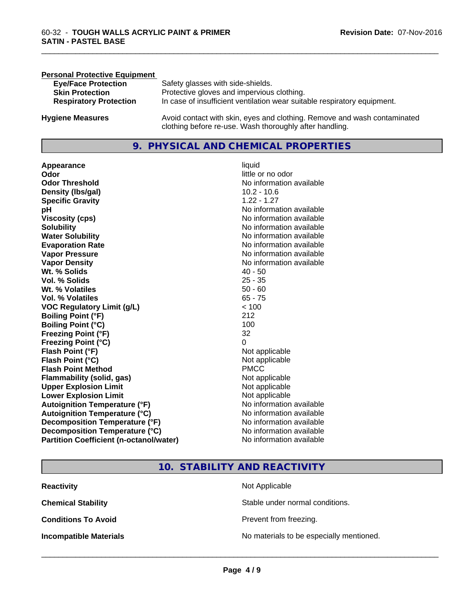| <b>Personal Protective Equipment</b> |                                                                                                                                     |
|--------------------------------------|-------------------------------------------------------------------------------------------------------------------------------------|
| <b>Eye/Face Protection</b>           | Safety glasses with side-shields.                                                                                                   |
| <b>Skin Protection</b>               | Protective gloves and impervious clothing.                                                                                          |
| <b>Respiratory Protection</b>        | In case of insufficient ventilation wear suitable respiratory equipment.                                                            |
| <b>Hygiene Measures</b>              | Avoid contact with skin, eyes and clothing. Remove and wash contaminated<br>clothing before re-use. Wash thoroughly after handling. |

## **9. PHYSICAL AND CHEMICAL PROPERTIES**

**Appearance** liquid **and a limitation of the contract of the contract of the contract of the contract of the contract of the contract of the contract of the contract of the contract of the contract of the contract of the c Odor Threshold No information available No information available Density (lbs/gal)** 10.2 - 10.6 **Specific Gravity** 1.22 - 1.27 **pH pH**  $\blacksquare$ **Viscosity (cps)** No information available **Solubility Note 2008 Note 2008 Note 2008 Note 2008 Note 2008 Note 2008 Note 2008 Note 2009 Note 2009 Note 2009 Note 2009 Note 2009 Note 2009 Note 2009 Note 2009 Note 2009 Note 2009 Note Water Solubility** No information available **Evaporation Rate No information available**<br> **Vapor Pressure** Monton available Vapor Pressure **Vapor Density**<br> **We Solids**<br>
We Solids
2019<br>
2019<br>
2019<br>
2019<br>
2019<br>
2019<br>
2019<br>
2019<br>
2019<br>
2019 **Wt. % Solids** 40 - 50<br> **Vol. % Solids** 25 - 35 **Vol. % Solids Wt. % Volatiles** 50 - 60<br> **Vol. % Volatiles** 65 - 75 **Vol. % Volatiles VOC Regulatory Limit (g/L)** < 100 **Boiling Point (°F)** 212 **Boiling Point (°C)** 100 **Freezing Point (°F)** 32 **Freezing Point (°C)** 0 **Flash Point (°F)** Not applicable **Flash Point (°C)**<br> **Flash Point Method**<br> **Flash Point Method**<br> **PMCC Flash Point Method Flammability (solid, gas)** Not applicable **Upper Explosion Limit** Not applicable **Lower Explosion Limit** Not applicable **Autoignition Temperature (°F)** No information available **Autoignition Temperature (°C)** No information available **Decomposition Temperature (°F)** No information available **Decomposition Temperature (°C)** No information available **Partition Coefficient (n-octanol/water)** No information available

**Odor** little or no odor **No information available** 

\_\_\_\_\_\_\_\_\_\_\_\_\_\_\_\_\_\_\_\_\_\_\_\_\_\_\_\_\_\_\_\_\_\_\_\_\_\_\_\_\_\_\_\_\_\_\_\_\_\_\_\_\_\_\_\_\_\_\_\_\_\_\_\_\_\_\_\_\_\_\_\_\_\_\_\_\_\_\_\_\_\_\_\_\_\_\_\_\_\_\_\_\_

## **10. STABILITY AND REACTIVITY**

| <b>Reactivity</b>             | Not Applicable                           |
|-------------------------------|------------------------------------------|
| <b>Chemical Stability</b>     | Stable under normal conditions.          |
| <b>Conditions To Avoid</b>    | Prevent from freezing.                   |
| <b>Incompatible Materials</b> | No materials to be especially mentioned. |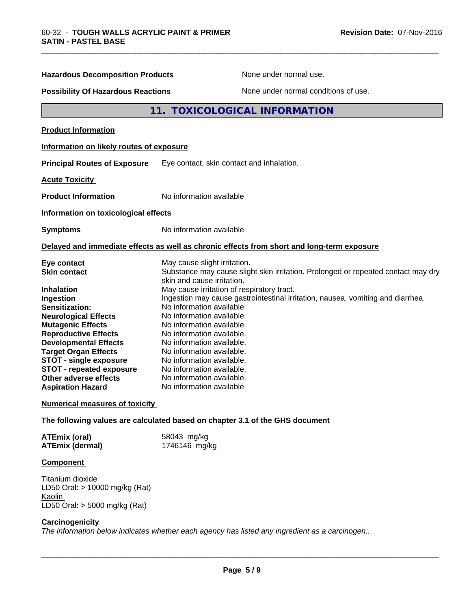| <b>Hazardous Decomposition Products</b>                                                                                                                                                                                                                                                                                                                                  | None under normal use.                                                                                                                                                                                                                                                                                                                                                                                                                                                                                                                                                           |  |
|--------------------------------------------------------------------------------------------------------------------------------------------------------------------------------------------------------------------------------------------------------------------------------------------------------------------------------------------------------------------------|----------------------------------------------------------------------------------------------------------------------------------------------------------------------------------------------------------------------------------------------------------------------------------------------------------------------------------------------------------------------------------------------------------------------------------------------------------------------------------------------------------------------------------------------------------------------------------|--|
| <b>Possibility Of Hazardous Reactions</b>                                                                                                                                                                                                                                                                                                                                | None under normal conditions of use.                                                                                                                                                                                                                                                                                                                                                                                                                                                                                                                                             |  |
|                                                                                                                                                                                                                                                                                                                                                                          | <b>TOXICOLOGICAL INFORMATION</b><br>11.                                                                                                                                                                                                                                                                                                                                                                                                                                                                                                                                          |  |
| <b>Product Information</b>                                                                                                                                                                                                                                                                                                                                               |                                                                                                                                                                                                                                                                                                                                                                                                                                                                                                                                                                                  |  |
| Information on likely routes of exposure                                                                                                                                                                                                                                                                                                                                 |                                                                                                                                                                                                                                                                                                                                                                                                                                                                                                                                                                                  |  |
| <b>Principal Routes of Exposure</b>                                                                                                                                                                                                                                                                                                                                      | Eye contact, skin contact and inhalation.                                                                                                                                                                                                                                                                                                                                                                                                                                                                                                                                        |  |
| <b>Acute Toxicity</b>                                                                                                                                                                                                                                                                                                                                                    |                                                                                                                                                                                                                                                                                                                                                                                                                                                                                                                                                                                  |  |
| <b>Product Information</b>                                                                                                                                                                                                                                                                                                                                               | No information available                                                                                                                                                                                                                                                                                                                                                                                                                                                                                                                                                         |  |
| Information on toxicological effects                                                                                                                                                                                                                                                                                                                                     |                                                                                                                                                                                                                                                                                                                                                                                                                                                                                                                                                                                  |  |
| <b>Symptoms</b>                                                                                                                                                                                                                                                                                                                                                          | No information available                                                                                                                                                                                                                                                                                                                                                                                                                                                                                                                                                         |  |
|                                                                                                                                                                                                                                                                                                                                                                          | Delayed and immediate effects as well as chronic effects from short and long-term exposure                                                                                                                                                                                                                                                                                                                                                                                                                                                                                       |  |
| Eye contact<br>Skin contact<br><b>Inhalation</b><br>Ingestion<br><b>Sensitization:</b><br><b>Neurological Effects</b><br><b>Mutagenic Effects</b><br><b>Reproductive Effects</b><br><b>Developmental Effects</b><br><b>Target Organ Effects</b><br><b>STOT - single exposure</b><br><b>STOT - repeated exposure</b><br>Other adverse effects<br><b>Aspiration Hazard</b> | May cause slight irritation.<br>Substance may cause slight skin irritation. Prolonged or repeated contact may dry<br>skin and cause irritation.<br>May cause irritation of respiratory tract.<br>Ingestion may cause gastrointestinal irritation, nausea, vomiting and diarrhea.<br>No information available<br>No information available.<br>No information available.<br>No information available.<br>No information available.<br>No information available.<br>No information available.<br>No information available.<br>No information available.<br>No information available |  |
| <b>Numerical measures of toxicity</b>                                                                                                                                                                                                                                                                                                                                    |                                                                                                                                                                                                                                                                                                                                                                                                                                                                                                                                                                                  |  |
|                                                                                                                                                                                                                                                                                                                                                                          | The following values are calculated based on chapter 3.1 of the GHS document                                                                                                                                                                                                                                                                                                                                                                                                                                                                                                     |  |
| <b>ATEmix (oral)</b><br><b>ATEmix (dermal)</b>                                                                                                                                                                                                                                                                                                                           | 58043 mg/kg<br>1746146 mg/kg                                                                                                                                                                                                                                                                                                                                                                                                                                                                                                                                                     |  |

## **Component**

Titanium dioxide LD50 Oral: > 10000 mg/kg (Rat) **Kaolin** LD50 Oral: > 5000 mg/kg (Rat)

#### **Carcinogenicity**

*The information below indicateswhether each agency has listed any ingredient as a carcinogen:.*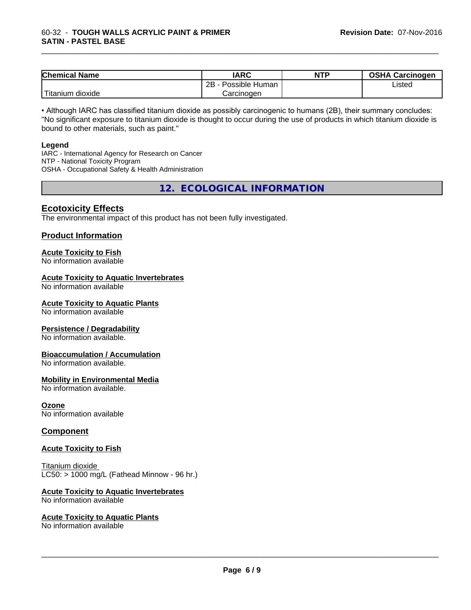| <b>Chemical Name</b>      | <b>IARC</b>          | <b>NTP</b> | <b>OSHA Carcinogen</b> |
|---------------------------|----------------------|------------|------------------------|
|                           | 2B<br>Possible Human |            | Listed                 |
| .<br>dioxide<br>I ıtanıum | Carcinogen           |            |                        |

• Although IARC has classified titanium dioxide as possibly carcinogenic to humans (2B), their summary concludes: "No significant exposure to titanium dioxide is thought to occur during the use of products in which titanium dioxide is bound to other materials, such as paint."

#### **Legend**

IARC - International Agency for Research on Cancer NTP - National Toxicity Program OSHA - Occupational Safety & Health Administration

**12. ECOLOGICAL INFORMATION**

## **Ecotoxicity Effects**

The environmental impact of this product has not been fully investigated.

## **Product Information**

## **Acute Toxicity to Fish**

No information available

## **Acute Toxicity to Aquatic Invertebrates**

No information available

## **Acute Toxicity to Aquatic Plants**

No information available

## **Persistence / Degradability**

No information available.

## **Bioaccumulation / Accumulation**

No information available.

## **Mobility in Environmental Media**

No information available.

## **Ozone**

No information available

## **Component**

## **Acute Toxicity to Fish**

Titanium dioxide  $LCS0: > 1000$  mg/L (Fathead Minnow - 96 hr.)

## **Acute Toxicity to Aquatic Invertebrates**

No information available

## **Acute Toxicity to Aquatic Plants**

No information available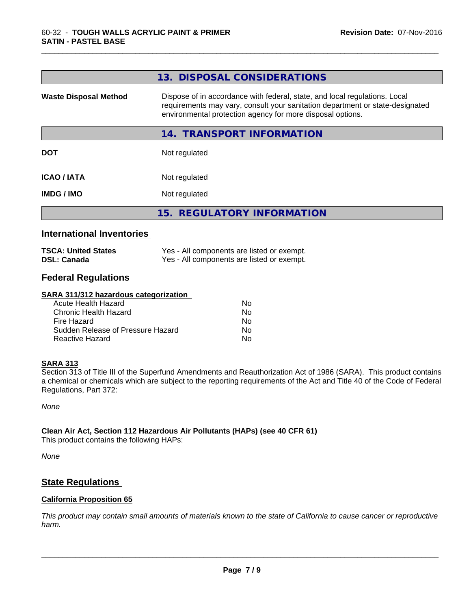|                              | 13. DISPOSAL CONSIDERATIONS                                                                                                                                                                                               |
|------------------------------|---------------------------------------------------------------------------------------------------------------------------------------------------------------------------------------------------------------------------|
| <b>Waste Disposal Method</b> | Dispose of in accordance with federal, state, and local regulations. Local<br>requirements may vary, consult your sanitation department or state-designated<br>environmental protection agency for more disposal options. |
|                              | 14. TRANSPORT INFORMATION                                                                                                                                                                                                 |
| <b>DOT</b>                   | Not regulated                                                                                                                                                                                                             |
| <b>ICAO/IATA</b>             | Not regulated                                                                                                                                                                                                             |
| <b>IMDG / IMO</b>            | Not regulated                                                                                                                                                                                                             |
|                              | 15. REGULATORY INFORMATION                                                                                                                                                                                                |
|                              |                                                                                                                                                                                                                           |

## **International Inventories**

| <b>TSCA: United States</b> | Yes - All components are listed or exempt. |
|----------------------------|--------------------------------------------|
| <b>DSL: Canada</b>         | Yes - All components are listed or exempt. |

## **Federal Regulations**

#### **SARA 311/312 hazardous categorization**

| Acute Health Hazard               | Nο |  |
|-----------------------------------|----|--|
| Chronic Health Hazard             | Nο |  |
| Fire Hazard                       | N٥ |  |
| Sudden Release of Pressure Hazard | Nο |  |
| Reactive Hazard                   | N٥ |  |

## **SARA 313**

Section 313 of Title III of the Superfund Amendments and Reauthorization Act of 1986 (SARA). This product contains a chemical or chemicals which are subject to the reporting requirements of the Act and Title 40 of the Code of Federal Regulations, Part 372:

*None*

## **Clean Air Act,Section 112 Hazardous Air Pollutants (HAPs) (see 40 CFR 61)**

This product contains the following HAPs:

*None*

## **State Regulations**

## **California Proposition 65**

This product may contain small amounts of materials known to the state of California to cause cancer or reproductive *harm.*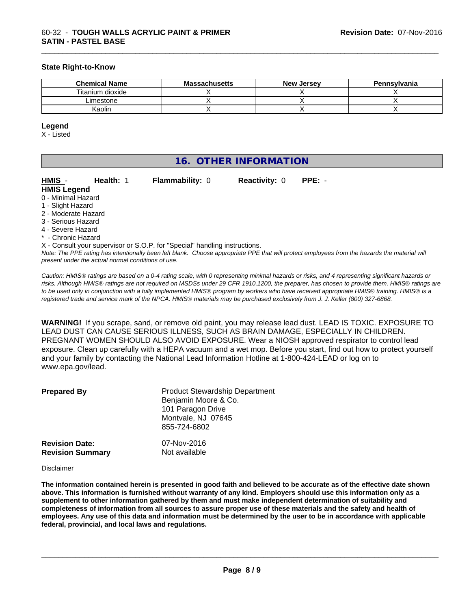## **State Right-to-Know**

| <b>Chemical Name</b> | <b>Massachusetts</b> | <b>New Jersey</b> | Pennsylvania |
|----------------------|----------------------|-------------------|--------------|
| Titanium dioxide     |                      |                   |              |
| Limestone            |                      |                   |              |
| Kaolin               |                      |                   |              |

\_\_\_\_\_\_\_\_\_\_\_\_\_\_\_\_\_\_\_\_\_\_\_\_\_\_\_\_\_\_\_\_\_\_\_\_\_\_\_\_\_\_\_\_\_\_\_\_\_\_\_\_\_\_\_\_\_\_\_\_\_\_\_\_\_\_\_\_\_\_\_\_\_\_\_\_\_\_\_\_\_\_\_\_\_\_\_\_\_\_\_\_\_

#### **Legend**

X - Listed

| 16. OTHER INFORMATION |
|-----------------------|
|-----------------------|

| HMIS -              | Health: 1 | <b>Flammability: 0</b>                                                          | <b>Reactivity: 0</b> | $PPE: -$ |  |
|---------------------|-----------|---------------------------------------------------------------------------------|----------------------|----------|--|
| <b>HMIS Legend</b>  |           |                                                                                 |                      |          |  |
| 0 - Minimal Hazard  |           |                                                                                 |                      |          |  |
| 1 - Slight Hazard   |           |                                                                                 |                      |          |  |
| 2 - Moderate Hazard |           |                                                                                 |                      |          |  |
| 3 - Serious Hazard  |           |                                                                                 |                      |          |  |
| 4 - Severe Hazard   |           |                                                                                 |                      |          |  |
| * - Chronic Hazard  |           |                                                                                 |                      |          |  |
|                     |           | $Y$ - Consult vour supervisor or $S \cap D$ for "Special" bandling instructions |                      |          |  |

*Note: The PPE rating has intentionally been left blank. Choose appropriate PPE that will protect employees from the hazards the material will present under the actual normal conditions of use.* Consult your supervisor or S.O.P. for "Special" handling instructions.

*Caution: HMISÒ ratings are based on a 0-4 rating scale, with 0 representing minimal hazards or risks, and 4 representing significant hazards or risks. Although HMISÒ ratings are not required on MSDSs under 29 CFR 1910.1200, the preparer, has chosen to provide them. HMISÒ ratings are to be used only in conjunction with a fully implemented HMISÒ program by workers who have received appropriate HMISÒ training. HMISÒ is a registered trade and service mark of the NPCA. HMISÒ materials may be purchased exclusively from J. J. Keller (800) 327-6868.*

**WARNING!** If you scrape, sand, or remove old paint, you may release lead dust. LEAD IS TOXIC. EXPOSURE TO LEAD DUST CAN CAUSE SERIOUS ILLNESS, SUCH AS BRAIN DAMAGE, ESPECIALLY IN CHILDREN. PREGNANT WOMEN SHOULD ALSO AVOID EXPOSURE.Wear a NIOSH approved respirator to control lead exposure. Clean up carefully with a HEPA vacuum and a wet mop. Before you start, find out how to protect yourself and your family by contacting the National Lead Information Hotline at 1-800-424-LEAD or log on to www.epa.gov/lead.

| <b>Prepared By</b>      | <b>Product Stewardship Department</b><br>Benjamin Moore & Co.<br>101 Paragon Drive<br>Montvale, NJ 07645<br>855-724-6802 |
|-------------------------|--------------------------------------------------------------------------------------------------------------------------|
| <b>Revision Date:</b>   | 07-Nov-2016                                                                                                              |
| <b>Revision Summary</b> | Not available                                                                                                            |

Disclaimer

The information contained herein is presented in good faith and believed to be accurate as of the effective date shown above. This information is furnished without warranty of any kind. Employers should use this information only as a **supplement to other information gathered by them and must make independent determination of suitability and** completeness of information from all sources to assure proper use of these materials and the safety and health of employees. Any use of this data and information must be determined by the user to be in accordance with applicable **federal, provincial, and local laws and regulations.**